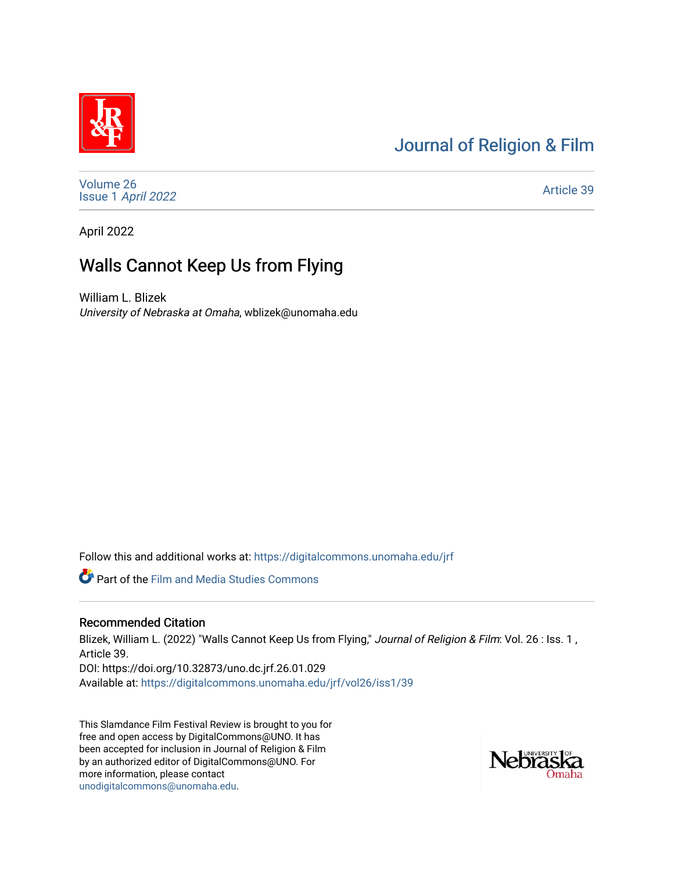## [Journal of Religion & Film](https://digitalcommons.unomaha.edu/jrf)



[Volume 26](https://digitalcommons.unomaha.edu/jrf/vol26) Issue 1 [April 2022](https://digitalcommons.unomaha.edu/jrf/vol26/iss1) 

[Article 39](https://digitalcommons.unomaha.edu/jrf/vol26/iss1/39) 

April 2022

# Walls Cannot Keep Us from Flying

William L. Blizek University of Nebraska at Omaha, wblizek@unomaha.edu

Follow this and additional works at: [https://digitalcommons.unomaha.edu/jrf](https://digitalcommons.unomaha.edu/jrf?utm_source=digitalcommons.unomaha.edu%2Fjrf%2Fvol26%2Fiss1%2F39&utm_medium=PDF&utm_campaign=PDFCoverPages)

Part of the [Film and Media Studies Commons](http://network.bepress.com/hgg/discipline/563?utm_source=digitalcommons.unomaha.edu%2Fjrf%2Fvol26%2Fiss1%2F39&utm_medium=PDF&utm_campaign=PDFCoverPages) 

### Recommended Citation

Blizek, William L. (2022) "Walls Cannot Keep Us from Flying," Journal of Religion & Film: Vol. 26 : Iss. 1, Article 39. DOI: https://doi.org/10.32873/uno.dc.jrf.26.01.029 Available at: [https://digitalcommons.unomaha.edu/jrf/vol26/iss1/39](https://digitalcommons.unomaha.edu/jrf/vol26/iss1/39?utm_source=digitalcommons.unomaha.edu%2Fjrf%2Fvol26%2Fiss1%2F39&utm_medium=PDF&utm_campaign=PDFCoverPages) 

This Slamdance Film Festival Review is brought to you for free and open access by DigitalCommons@UNO. It has been accepted for inclusion in Journal of Religion & Film by an authorized editor of DigitalCommons@UNO. For more information, please contact [unodigitalcommons@unomaha.edu.](mailto:unodigitalcommons@unomaha.edu)

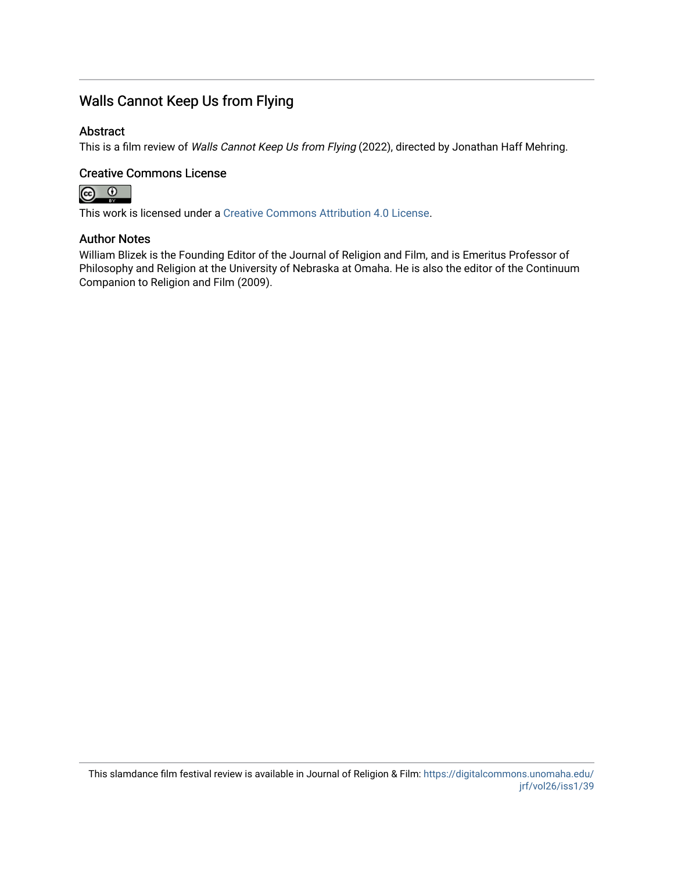### Walls Cannot Keep Us from Flying

### Abstract

This is a film review of Walls Cannot Keep Us from Flying (2022), directed by Jonathan Haff Mehring.

### Creative Commons License



This work is licensed under a [Creative Commons Attribution 4.0 License](https://creativecommons.org/licenses/by/4.0/).

#### Author Notes

William Blizek is the Founding Editor of the Journal of Religion and Film, and is Emeritus Professor of Philosophy and Religion at the University of Nebraska at Omaha. He is also the editor of the Continuum Companion to Religion and Film (2009).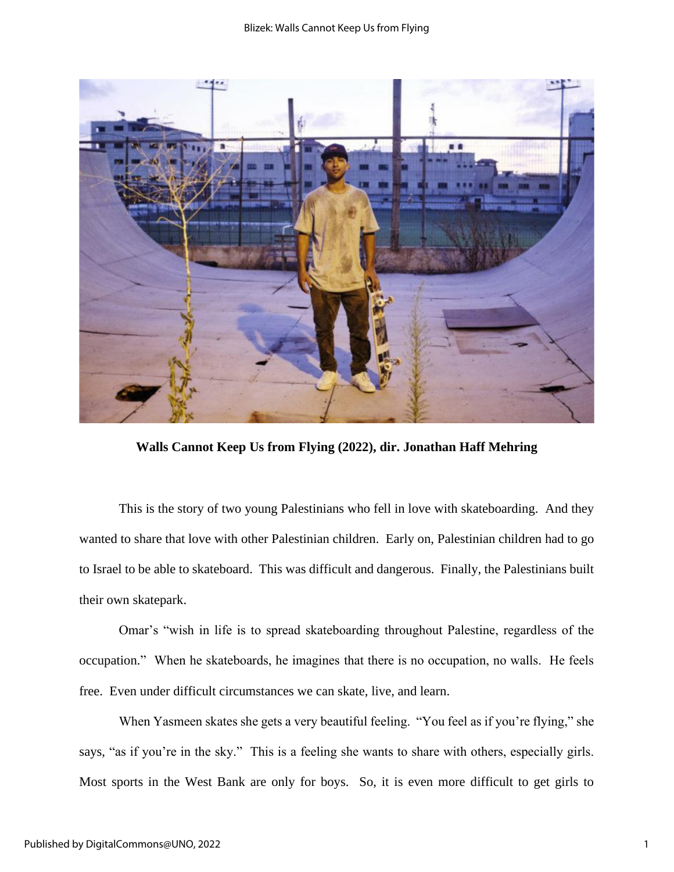

**Walls Cannot Keep Us from Flying (2022), dir. Jonathan Haff Mehring**

This is the story of two young Palestinians who fell in love with skateboarding. And they wanted to share that love with other Palestinian children. Early on, Palestinian children had to go to Israel to be able to skateboard. This was difficult and dangerous. Finally, the Palestinians built their own skatepark.

Omar's "wish in life is to spread skateboarding throughout Palestine, regardless of the occupation." When he skateboards, he imagines that there is no occupation, no walls. He feels free. Even under difficult circumstances we can skate, live, and learn.

When Yasmeen skates she gets a very beautiful feeling. "You feel as if you're flying," she says, "as if you're in the sky." This is a feeling she wants to share with others, especially girls. Most sports in the West Bank are only for boys. So, it is even more difficult to get girls to